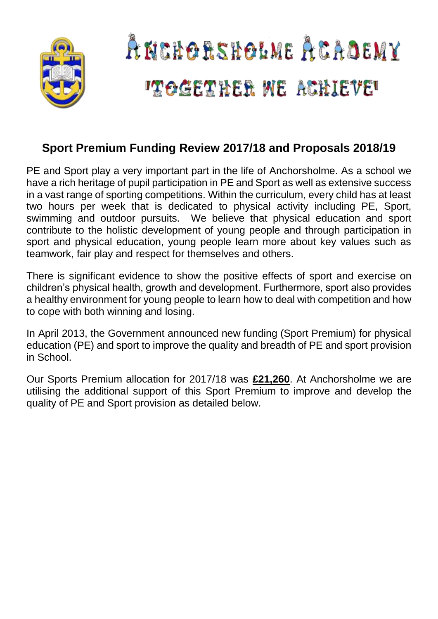

## **Sport Premium Funding Review 2017/18 and Proposals 2018/19**

PE and Sport play a very important part in the life of Anchorsholme. As a school we have a rich heritage of pupil participation in PE and Sport as well as extensive success in a vast range of sporting competitions. Within the curriculum, every child has at least two hours per week that is dedicated to physical activity including PE, Sport, swimming and outdoor pursuits. We believe that physical education and sport contribute to the holistic development of young people and through participation in sport and physical education, young people learn more about key values such as teamwork, fair play and respect for themselves and others.

There is significant evidence to show the positive effects of sport and exercise on children's physical health, growth and development. Furthermore, sport also provides a healthy environment for young people to learn how to deal with competition and how to cope with both winning and losing.

In April 2013, the Government announced new funding (Sport Premium) for physical education (PE) and sport to improve the quality and breadth of PE and sport provision in School.

Our Sports Premium allocation for 2017/18 was **£21,260**. At Anchorsholme we are utilising the additional support of this Sport Premium to improve and develop the quality of PE and Sport provision as detailed below.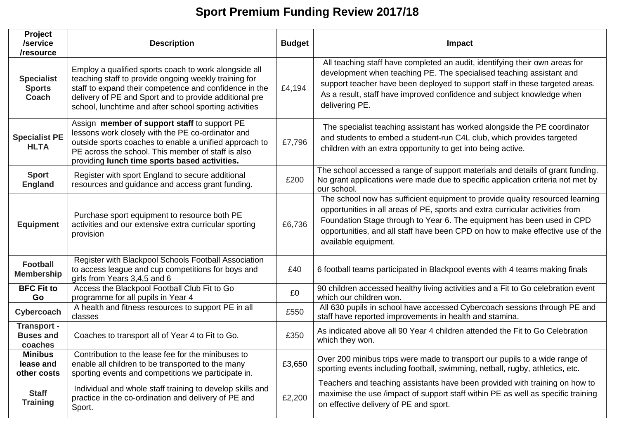# **Sport Premium Funding Review 2017/18**

| Project<br>/service<br>/resource                  | <b>Description</b>                                                                                                                                                                                                                                                                           | <b>Budget</b> | Impact                                                                                                                                                                                                                                                                                                                                             |
|---------------------------------------------------|----------------------------------------------------------------------------------------------------------------------------------------------------------------------------------------------------------------------------------------------------------------------------------------------|---------------|----------------------------------------------------------------------------------------------------------------------------------------------------------------------------------------------------------------------------------------------------------------------------------------------------------------------------------------------------|
| <b>Specialist</b><br><b>Sports</b><br>Coach       | Employ a qualified sports coach to work alongside all<br>teaching staff to provide ongoing weekly training for<br>staff to expand their competence and confidence in the<br>delivery of PE and Sport and to provide additional pre<br>school, lunchtime and after school sporting activities | £4,194        | All teaching staff have completed an audit, identifying their own areas for<br>development when teaching PE. The specialised teaching assistant and<br>support teacher have been deployed to support staff in these targeted areas.<br>As a result, staff have improved confidence and subject knowledge when<br>delivering PE.                    |
| <b>Specialist PE</b><br><b>HLTA</b>               | Assign member of support staff to support PE<br>lessons work closely with the PE co-ordinator and<br>outside sports coaches to enable a unified approach to<br>PE across the school. This member of staff is also<br>providing lunch time sports based activities.                           | £7,796        | The specialist teaching assistant has worked alongside the PE coordinator<br>and students to embed a student-run C4L club, which provides targeted<br>children with an extra opportunity to get into being active.                                                                                                                                 |
| <b>Sport</b><br><b>England</b>                    | Register with sport England to secure additional<br>resources and guidance and access grant funding.                                                                                                                                                                                         | £200          | The school accessed a range of support materials and details of grant funding.<br>No grant applications were made due to specific application criteria not met by<br>our school.                                                                                                                                                                   |
| <b>Equipment</b>                                  | Purchase sport equipment to resource both PE<br>activities and our extensive extra curricular sporting<br>provision                                                                                                                                                                          | £6,736        | The school now has sufficient equipment to provide quality resourced learning<br>opportunities in all areas of PE, sports and extra curricular activities from<br>Foundation Stage through to Year 6. The equipment has been used in CPD<br>opportunities, and all staff have been CPD on how to make effective use of the<br>available equipment. |
| <b>Football</b><br><b>Membership</b>              | Register with Blackpool Schools Football Association<br>to access league and cup competitions for boys and<br>girls from Years 3,4,5 and 6                                                                                                                                                   | £40           | 6 football teams participated in Blackpool events with 4 teams making finals                                                                                                                                                                                                                                                                       |
| <b>BFC Fit to</b><br>Go                           | Access the Blackpool Football Club Fit to Go<br>programme for all pupils in Year 4                                                                                                                                                                                                           | £0            | 90 children accessed healthy living activities and a Fit to Go celebration event<br>which our children won.                                                                                                                                                                                                                                        |
| Cybercoach                                        | A health and fitness resources to support PE in all<br>classes                                                                                                                                                                                                                               | £550          | All 630 pupils in school have accessed Cybercoach sessions through PE and<br>staff have reported improvements in health and stamina.                                                                                                                                                                                                               |
| <b>Transport -</b><br><b>Buses and</b><br>coaches | Coaches to transport all of Year 4 to Fit to Go.                                                                                                                                                                                                                                             | £350          | As indicated above all 90 Year 4 children attended the Fit to Go Celebration<br>which they won.                                                                                                                                                                                                                                                    |
| <b>Minibus</b><br>lease and<br>other costs        | Contribution to the lease fee for the minibuses to<br>enable all children to be transported to the many<br>sporting events and competitions we participate in.                                                                                                                               | £3,650        | Over 200 minibus trips were made to transport our pupils to a wide range of<br>sporting events including football, swimming, netball, rugby, athletics, etc.                                                                                                                                                                                       |
| <b>Staff</b><br><b>Training</b>                   | Individual and whole staff training to develop skills and<br>practice in the co-ordination and delivery of PE and<br>Sport.                                                                                                                                                                  | £2,200        | Teachers and teaching assistants have been provided with training on how to<br>maximise the use /impact of support staff within PE as well as specific training<br>on effective delivery of PE and sport.                                                                                                                                          |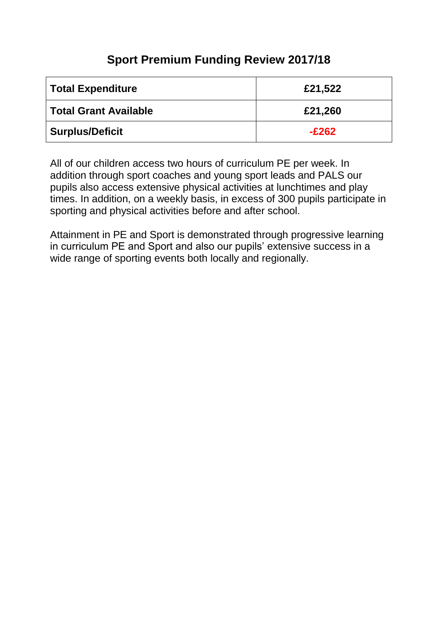## **Sport Premium Funding Review 2017/18**

| <b>Total Expenditure</b>     | £21,522 |
|------------------------------|---------|
| <b>Total Grant Available</b> | £21,260 |
| <b>Surplus/Deficit</b>       | $-E262$ |

All of our children access two hours of curriculum PE per week. In addition through sport coaches and young sport leads and PALS our pupils also access extensive physical activities at lunchtimes and play times. In addition, on a weekly basis, in excess of 300 pupils participate in sporting and physical activities before and after school.

Attainment in PE and Sport is demonstrated through progressive learning in curriculum PE and Sport and also our pupils' extensive success in a wide range of sporting events both locally and regionally.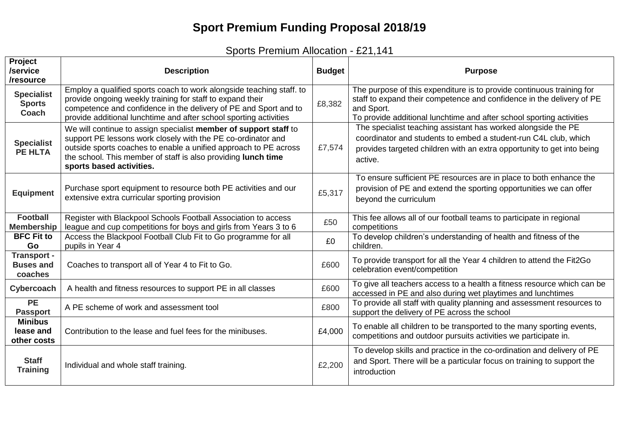# **Sport Premium Funding Proposal 2018/19**

| Sports Premium Allocation - £21,141 |  |
|-------------------------------------|--|
|-------------------------------------|--|

| Project<br>/service<br>/resource                  | <b>Description</b>                                                                                                                                                                                                                                                                                | <b>Budget</b> | <b>Purpose</b>                                                                                                                                                                                                                       |
|---------------------------------------------------|---------------------------------------------------------------------------------------------------------------------------------------------------------------------------------------------------------------------------------------------------------------------------------------------------|---------------|--------------------------------------------------------------------------------------------------------------------------------------------------------------------------------------------------------------------------------------|
| <b>Specialist</b><br><b>Sports</b><br>Coach       | Employ a qualified sports coach to work alongside teaching staff. to<br>provide ongoing weekly training for staff to expand their<br>competence and confidence in the delivery of PE and Sport and to<br>provide additional lunchtime and after school sporting activities                        | £8,382        | The purpose of this expenditure is to provide continuous training for<br>staff to expand their competence and confidence in the delivery of PE<br>and Sport.<br>To provide additional lunchtime and after school sporting activities |
| <b>Specialist</b><br><b>PE HLTA</b>               | We will continue to assign specialist member of support staff to<br>support PE lessons work closely with the PE co-ordinator and<br>outside sports coaches to enable a unified approach to PE across<br>the school. This member of staff is also providing lunch time<br>sports based activities. | £7,574        | The specialist teaching assistant has worked alongside the PE<br>coordinator and students to embed a student-run C4L club, which<br>provides targeted children with an extra opportunity to get into being<br>active.                |
| <b>Equipment</b>                                  | Purchase sport equipment to resource both PE activities and our<br>extensive extra curricular sporting provision                                                                                                                                                                                  | £5,317        | To ensure sufficient PE resources are in place to both enhance the<br>provision of PE and extend the sporting opportunities we can offer<br>beyond the curriculum                                                                    |
| <b>Football</b><br><b>Membership</b>              | Register with Blackpool Schools Football Association to access<br>league and cup competitions for boys and girls from Years 3 to 6                                                                                                                                                                | £50           | This fee allows all of our football teams to participate in regional<br>competitions                                                                                                                                                 |
| <b>BFC Fit to</b><br>Go                           | Access the Blackpool Football Club Fit to Go programme for all<br>pupils in Year 4                                                                                                                                                                                                                | £0            | To develop children's understanding of health and fitness of the<br>children.                                                                                                                                                        |
| <b>Transport -</b><br><b>Buses and</b><br>coaches | Coaches to transport all of Year 4 to Fit to Go.                                                                                                                                                                                                                                                  | £600          | To provide transport for all the Year 4 children to attend the Fit2Go<br>celebration event/competition                                                                                                                               |
| Cybercoach                                        | A health and fitness resources to support PE in all classes                                                                                                                                                                                                                                       | £600          | To give all teachers access to a health a fitness resource which can be<br>accessed in PE and also during wet playtimes and lunchtimes                                                                                               |
| PE<br><b>Passport</b>                             | A PE scheme of work and assessment tool                                                                                                                                                                                                                                                           | £800          | To provide all staff with quality planning and assessment resources to<br>support the delivery of PE across the school                                                                                                               |
| <b>Minibus</b><br>lease and<br>other costs        | Contribution to the lease and fuel fees for the minibuses.                                                                                                                                                                                                                                        | £4,000        | To enable all children to be transported to the many sporting events,<br>competitions and outdoor pursuits activities we participate in.                                                                                             |
| <b>Staff</b><br><b>Training</b>                   | Individual and whole staff training.                                                                                                                                                                                                                                                              | £2,200        | To develop skills and practice in the co-ordination and delivery of PE<br>and Sport. There will be a particular focus on training to support the<br>introduction                                                                     |